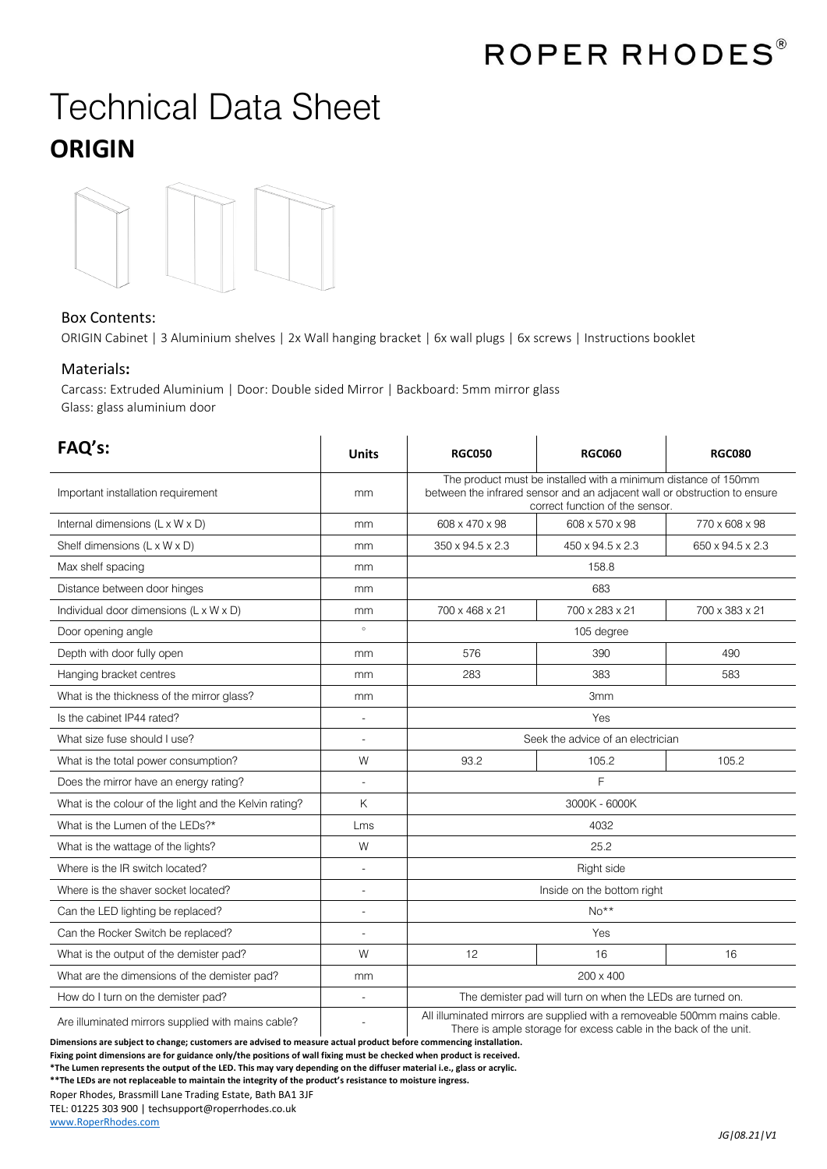## Technical Data Sheet **ORIGIN**



## Box Contents:

ORIGIN Cabinet | 3 Aluminium shelves | 2x Wall hanging bracket | 6x wall plugs | 6x screws | Instructions booklet

## Materials**:**

Carcass: Extruded Aluminium | Door: Double sided Mirror | Backboard: 5mm mirror glass Glass: glass aluminium door

| FAQ's:                                                                  | <b>Units</b>   | <b>RGC050</b>                                                                                                                                                                  | <b>RGC060</b>    | <b>RGC080</b>    |
|-------------------------------------------------------------------------|----------------|--------------------------------------------------------------------------------------------------------------------------------------------------------------------------------|------------------|------------------|
| Important installation requirement                                      | mm             | The product must be installed with a minimum distance of 150mm<br>between the infrared sensor and an adjacent wall or obstruction to ensure<br>correct function of the sensor. |                  |                  |
| Internal dimensions (L x W x D)                                         | mm             | 608 x 470 x 98                                                                                                                                                                 | 608 x 570 x 98   | 770 x 608 x 98   |
| Shelf dimensions (L x W x D)                                            | mm             | 350 x 94.5 x 2.3                                                                                                                                                               | 450 x 94.5 x 2.3 | 650 x 94.5 x 2.3 |
| Max shelf spacing                                                       | mm             | 158.8                                                                                                                                                                          |                  |                  |
| Distance between door hinges                                            | mm             | 683                                                                                                                                                                            |                  |                  |
| Individual door dimensions (L x W x D)                                  | mm             | 700 x 468 x 21                                                                                                                                                                 | 700 x 283 x 21   | 700 x 383 x 21   |
| Door opening angle                                                      | $\circ$        | 105 degree                                                                                                                                                                     |                  |                  |
| Depth with door fully open                                              | mm             | 576                                                                                                                                                                            | 390              | 490              |
| Hanging bracket centres                                                 | mm             | 283                                                                                                                                                                            | 383              | 583              |
| What is the thickness of the mirror glass?                              | mm             | 3 <sub>mm</sub>                                                                                                                                                                |                  |                  |
| Is the cabinet IP44 rated?                                              | L,             | Yes                                                                                                                                                                            |                  |                  |
| What size fuse should I use?                                            |                | Seek the advice of an electrician                                                                                                                                              |                  |                  |
| What is the total power consumption?                                    | W              | 93.2                                                                                                                                                                           | 105.2            | 105.2            |
| Does the mirror have an energy rating?                                  | $\sim$         | F                                                                                                                                                                              |                  |                  |
| What is the colour of the light and the Kelvin rating?                  | Κ              | 3000K - 6000K                                                                                                                                                                  |                  |                  |
| What is the Lumen of the LEDs?*                                         | Lms            | 4032                                                                                                                                                                           |                  |                  |
| What is the wattage of the lights?                                      | W              | 25.2                                                                                                                                                                           |                  |                  |
| Where is the IR switch located?                                         |                | Right side                                                                                                                                                                     |                  |                  |
| Where is the shaver socket located?                                     | $\overline{a}$ | Inside on the bottom right                                                                                                                                                     |                  |                  |
| Can the LED lighting be replaced?                                       |                | $No**$                                                                                                                                                                         |                  |                  |
| Can the Rocker Switch be replaced?                                      |                | Yes                                                                                                                                                                            |                  |                  |
| What is the output of the demister pad?                                 | W              | 12                                                                                                                                                                             | 16               | 16               |
| What are the dimensions of the demister pad?                            | mm             | 200 x 400                                                                                                                                                                      |                  |                  |
| How do I turn on the demister pad?                                      |                | The demister pad will turn on when the LEDs are turned on.                                                                                                                     |                  |                  |
| الملطوم والمتحوم والشرير امتعالم وسيوم وسيستمع المتعلم وبالمسريان ومرار |                | All illuminated mirrors are supplied with a removeable 500mm mains cable.                                                                                                      |                  |                  |

Are illuminated mirrors supplied with mains cable?

**Dimensions are subject to change; customers are advised to measure actual product before commencing installation. Fixing point dimensions are for guidance only/the positions of wall fixing must be checked when product is received.** 

**\*The Lumen represents the output of the LED. This may vary depending on the diffuser material i.e., glass or acrylic.**

**\*\*The LEDs are not replaceable to maintain the integrity of the product's resistance to moisture ingress.**

Roper Rhodes, Brassmill Lane Trading Estate, Bath BA1 3JF

TEL: 01225 303 900 | techsupport@roperrhodes.co.uk

[www.RoperRhodes.com](http://www.roperrhodes.com/)

There is ample storage for excess cable in the back of the unit.